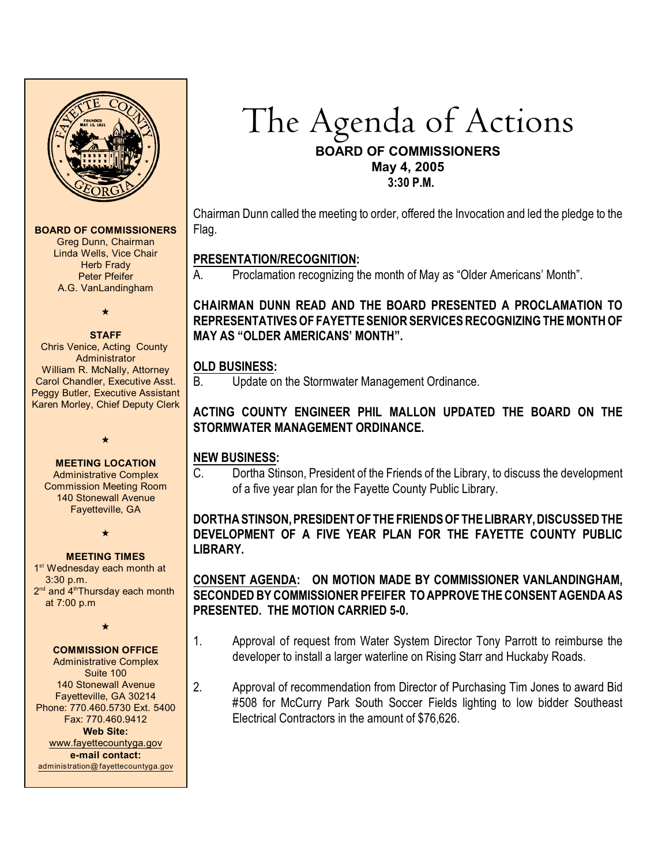

#### **BOARD OF COMMISSIONERS**

Greg Dunn, Chairman Linda Wells, Vice Chair **Herb Frady** Peter Pfeifer A.G. VanLandingham

 $\star$ 

#### **STAFF**

Chris Venice, Acting County Administrator William R. McNally, Attorney Carol Chandler, Executive Asst. Peggy Butler, Executive Assistant Karen Morley, Chief Deputy Clerk

 $\star$ 

#### **MEETING LOCATION**

Administrative Complex Commission Meeting Room 140 Stonewall Avenue Fayetteville, GA

 $\star$ 

#### **MEETING TIMES**

1<sup>st</sup> Wednesday each month at 3:30 p.m. 2<sup>nd</sup> and 4<sup>th</sup>Thursday each month at 7:00 p.m

 $\star$ 

# **COMMISSION OFFICE**

Administrative Complex Suite 100 140 Stonewall Avenue Fayetteville, GA 30214 Phone: 770.460.5730 Ext. 5400 Fax: 770.460.9412 **Web Site:** [www.fayettecountyga.gov](http://www.admin.co.fayette.ga.us) **e-mail contact:** [administration@fayettecountyga.gov](mailto:administration@fayettecountyga.gov)

The Agenda of Actions **BOARD OF COMMISSIONERS May 4, 2005 3:30 P.M.**

Chairman Dunn called the meeting to order, offered the Invocation and led the pledge to the Flag.

# **PRESENTATION/RECOGNITION:**

A. Proclamation recognizing the month of May as "Older Americans' Month".

**CHAIRMAN DUNN READ AND THE BOARD PRESENTED A PROCLAMATION TO REPRESENTATIVES OF FAYETTESENIOR SERVICES RECOGNIZING THE MONTH OF MAY AS "OLDER AMERICANS' MONTH".** 

### **OLD BUSINESS:**

B. Update on the Stormwater Management Ordinance.

## **ACTING COUNTY ENGINEER PHIL MALLON UPDATED THE BOARD ON THE STORMWATER MANAGEMENT ORDINANCE.**

### **NEW BUSINESS:**

C. Dortha Stinson, President of the Friends of the Library, to discuss the development of a five year plan for the Fayette County Public Library.

## **DORTHA STINSON, PRESIDENT OF THEFRIENDS OF THE LIBRARY, DISCUSSED THE DEVELOPMENT OF A FIVE YEAR PLAN FOR THE FAYETTE COUNTY PUBLIC LIBRARY.**

## **CONSENT AGENDA: ON MOTION MADE BY COMMISSIONER VANLANDINGHAM, SECONDED BY COMMISSIONER PFEIFER TO APPROVE THE CONSENT AGENDA AS PRESENTED. THE MOTION CARRIED 5-0.**

- 1. Approval of request from Water System Director Tony Parrott to reimburse the developer to install a larger waterline on Rising Starr and Huckaby Roads.
- 2. Approval of recommendation from Director of Purchasing Tim Jones to award Bid #508 for McCurry Park South Soccer Fields lighting to low bidder Southeast Electrical Contractors in the amount of \$76,626.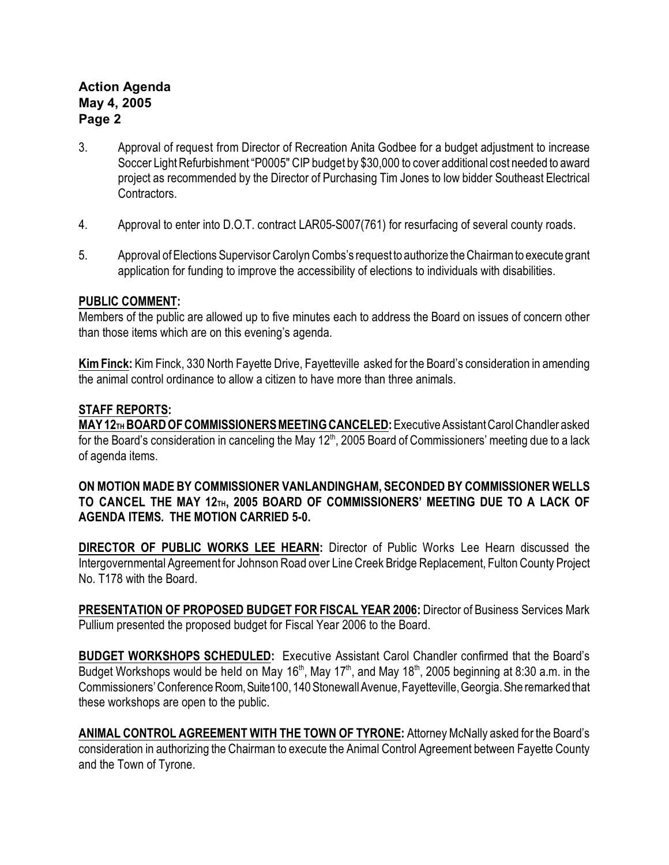# **Action Agenda May 4, 2005 Page 2**

- 3. Approval of request from Director of Recreation Anita Godbee for a budget adjustment to increase Soccer Light Refurbishment "P0005" CIP budget by \$30,000 to cover additional cost needed to award project as recommended by the Director of Purchasing Tim Jones to low bidder Southeast Electrical Contractors.
- 4. Approval to enter into D.O.T. contract LAR05-S007(761) for resurfacing of several county roads.
- 5. Approval ofElections Supervisor Carolyn Combs's request to authorize the Chairman to execute grant application for funding to improve the accessibility of elections to individuals with disabilities.

### **PUBLIC COMMENT:**

Members of the public are allowed up to five minutes each to address the Board on issues of concern other than those items which are on this evening's agenda.

**Kim Finck:** KimFinck, 330 North Fayette Drive, Fayetteville asked for the Board's consideration in amending the animal control ordinance to allow a citizen to have more than three animals.

### **STAFF REPORTS:**

**MAY 12**<sup>TH</sup> BOARD OF COMMISSIONERS MEETING CANCELED: Executive Assistant Carol Chandler asked for the Board's consideration in canceling the May 12<sup>th</sup>, 2005 Board of Commissioners' meeting due to a lack of agenda items.

**ON MOTION MADE BY COMMISSIONER VANLANDINGHAM, SECONDED BY COMMISSIONER WELLS TO CANCEL THE MAY 12TH, 2005 BOARD OF COMMISSIONERS' MEETING DUE TO A LACK OF AGENDA ITEMS. THE MOTION CARRIED 5-0.**

**DIRECTOR OF PUBLIC WORKS LEE HEARN:** Director of Public Works Lee Hearn discussed the Intergovernmental Agreement for Johnson Road over Line Creek Bridge Replacement, Fulton County Project No. T178 with the Board.

**PRESENTATION OF PROPOSED BUDGET FOR FISCAL YEAR 2006:** Director of Business Services Mark Pullium presented the proposed budget for Fiscal Year 2006 to the Board.

**BUDGET WORKSHOPS SCHEDULED:** Executive Assistant Carol Chandler confirmed that the Board's Budget Workshops would be held on May 16<sup>th</sup>, May 17<sup>th</sup>, and May 18<sup>th</sup>, 2005 beginning at 8:30 a.m. in the Commissioners' Conference Room, Suite100, 140 Stonewall Avenue, Fayetteville, Georgia. She remarked that these workshops are open to the public.

ANIMAL CONTROL AGREEMENT WITH THE TOWN OF TYRONE: Attorney McNally asked for the Board's consideration in authorizing the Chairman to execute the Animal Control Agreement between Fayette County and the Town of Tyrone.